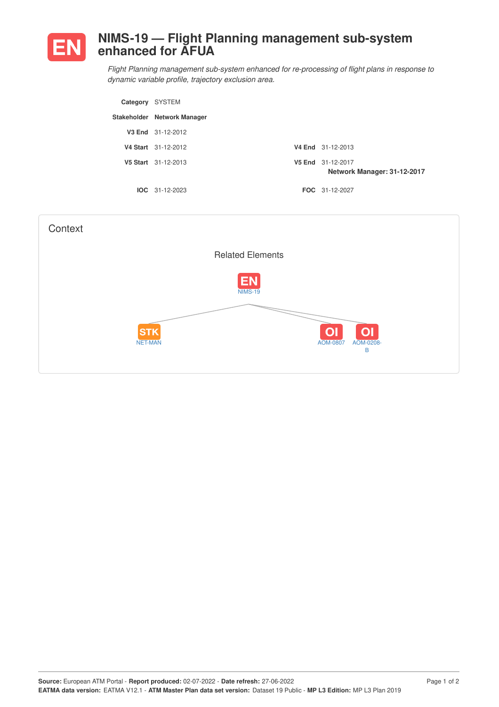

## **NIMS-19 — Flight Planning management sub-system enhanced for AFUA**

*Flight Planning management sub-system enhanced for re-processing of flight plans in response to dynamic variable profile, trajectory exclusion area.*

| Category SYSTEM |                             |                                                  |
|-----------------|-----------------------------|--------------------------------------------------|
|                 | Stakeholder Network Manager |                                                  |
|                 | V3 End 31-12-2012           |                                                  |
|                 | V4 Start 31-12-2012         | V4 End 31-12-2013                                |
|                 | V5 Start 31-12-2013         | V5 End 31-12-2017<br>Network Manager: 31-12-2017 |
|                 | $IOC 31-12-2023$            | FOC 31-12-2027                                   |